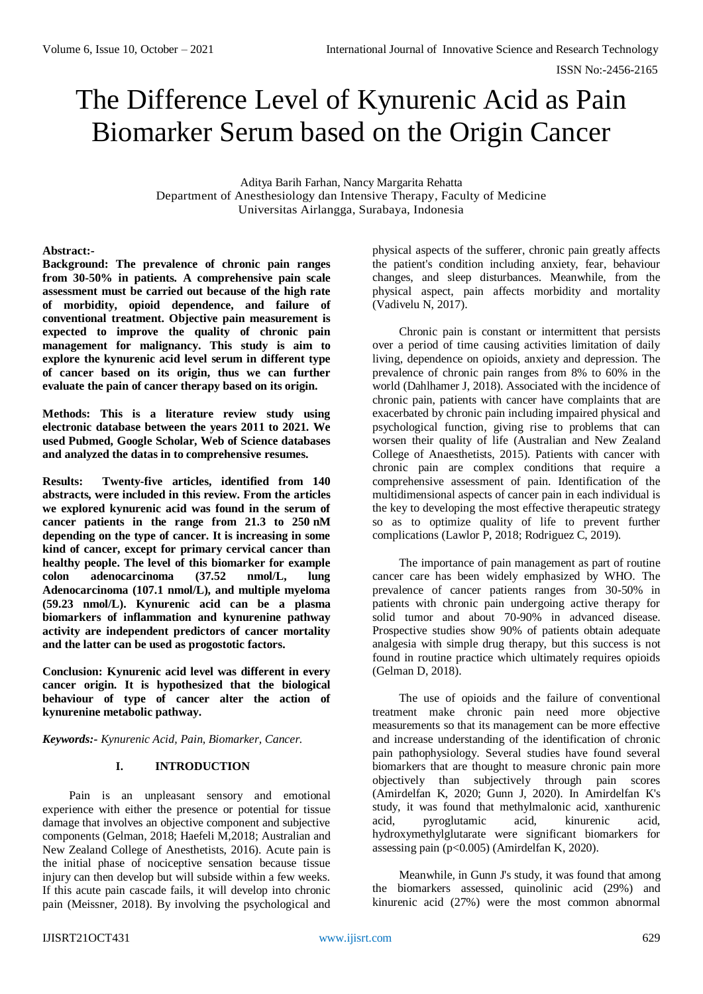ISSN No:-2456-2165

# The Difference Level of Kynurenic Acid as Pain Biomarker Serum based on the Origin Cancer

Aditya Barih Farhan, Nancy Margarita Rehatta Department of Anesthesiology dan Intensive Therapy, Faculty of Medicine Universitas Airlangga, Surabaya, Indonesia

## **Abstract:-**

**Background: The prevalence of chronic pain ranges from 30-50% in patients. A comprehensive pain scale assessment must be carried out because of the high rate of morbidity, opioid dependence, and failure of conventional treatment. Objective pain measurement is expected to improve the quality of chronic pain management for malignancy. This study is aim to explore the kynurenic acid level serum in different type of cancer based on its origin, thus we can further evaluate the pain of cancer therapy based on its origin.**

**Methods: This is a literature review study using electronic database between the years 2011 to 2021. We used Pubmed, Google Scholar, Web of Science databases and analyzed the datas in to comprehensive resumes.** 

**Results: Twenty-five articles, identified from 140 abstracts, were included in this review. From the articles we explored kynurenic acid was found in the serum of cancer patients in the range from 21.3 to 250 nM depending on the type of cancer. It is increasing in some kind of cancer, except for primary cervical cancer than healthy people. The level of this biomarker for example colon adenocarcinoma (37.52 nmol/L, lung Adenocarcinoma (107.1 nmol/L), and multiple myeloma (59.23 nmol/L). Kynurenic acid can be a plasma biomarkers of inflammation and kynurenine pathway activity are independent predictors of cancer mortality and the latter can be used as progostotic factors.** 

**Conclusion: Kynurenic acid level was different in every cancer origin. It is hypothesized that the biological behaviour of type of cancer alter the action of kynurenine metabolic pathway.**

*Keywords:- Kynurenic Acid, Pain, Biomarker, Cancer.*

## **I. INTRODUCTION**

Pain is an unpleasant sensory and emotional experience with either the presence or potential for tissue damage that involves an objective component and subjective components (Gelman, 2018; Haefeli M,2018; Australian and New Zealand College of Anesthetists, 2016). Acute pain is the initial phase of nociceptive sensation because tissue injury can then develop but will subside within a few weeks. If this acute pain cascade fails, it will develop into chronic pain (Meissner, 2018). By involving the psychological and

physical aspects of the sufferer, chronic pain greatly affects the patient's condition including anxiety, fear, behaviour changes, and sleep disturbances. Meanwhile, from the physical aspect, pain affects morbidity and mortality (Vadivelu N, 2017).

Chronic pain is constant or intermittent that persists over a period of time causing activities limitation of daily living, dependence on opioids, anxiety and depression. The prevalence of chronic pain ranges from 8% to 60% in the world (Dahlhamer J, 2018). Associated with the incidence of chronic pain, patients with cancer have complaints that are exacerbated by chronic pain including impaired physical and psychological function, giving rise to problems that can worsen their quality of life (Australian and New Zealand College of Anaesthetists, 2015). Patients with cancer with chronic pain are complex conditions that require a comprehensive assessment of pain. Identification of the multidimensional aspects of cancer pain in each individual is the key to developing the most effective therapeutic strategy so as to optimize quality of life to prevent further complications (Lawlor P, 2018; Rodriguez C, 2019).

The importance of pain management as part of routine cancer care has been widely emphasized by WHO. The prevalence of cancer patients ranges from 30-50% in patients with chronic pain undergoing active therapy for solid tumor and about 70-90% in advanced disease. Prospective studies show 90% of patients obtain adequate analgesia with simple drug therapy, but this success is not found in routine practice which ultimately requires opioids (Gelman D, 2018).

The use of opioids and the failure of conventional treatment make chronic pain need more objective measurements so that its management can be more effective and increase understanding of the identification of chronic pain pathophysiology. Several studies have found several biomarkers that are thought to measure chronic pain more objectively than subjectively through pain scores (Amirdelfan K, 2020; Gunn J, 2020). In Amirdelfan K's study, it was found that methylmalonic acid, xanthurenic acid, pyroglutamic acid, kinurenic acid, hydroxymethylglutarate were significant biomarkers for assessing pain (p<0.005) (Amirdelfan K, 2020).

Meanwhile, in Gunn J's study, it was found that among the biomarkers assessed, quinolinic acid (29%) and kinurenic acid (27%) were the most common abnormal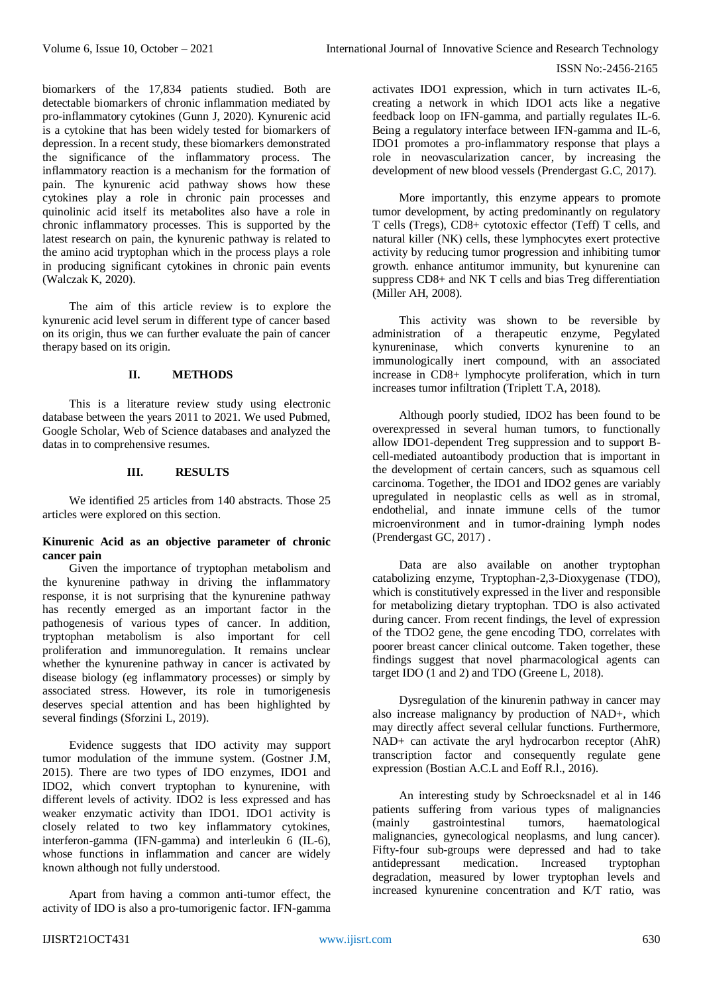#### ISSN No:-2456-2165

biomarkers of the 17,834 patients studied. Both are detectable biomarkers of chronic inflammation mediated by pro-inflammatory cytokines (Gunn J, 2020). Kynurenic acid is a cytokine that has been widely tested for biomarkers of depression. In a recent study, these biomarkers demonstrated the significance of the inflammatory process. The inflammatory reaction is a mechanism for the formation of pain. The kynurenic acid pathway shows how these cytokines play a role in chronic pain processes and quinolinic acid itself its metabolites also have a role in chronic inflammatory processes. This is supported by the latest research on pain, the kynurenic pathway is related to the amino acid tryptophan which in the process plays a role in producing significant cytokines in chronic pain events (Walczak K, 2020).

The aim of this article review is to explore the kynurenic acid level serum in different type of cancer based on its origin, thus we can further evaluate the pain of cancer therapy based on its origin.

## **II. METHODS**

This is a literature review study using electronic database between the years 2011 to 2021. We used Pubmed, Google Scholar, Web of Science databases and analyzed the datas in to comprehensive resumes.

## **III. RESULTS**

We identified 25 articles from 140 abstracts. Those 25 articles were explored on this section.

## **Kinurenic Acid as an objective parameter of chronic cancer pain**

Given the importance of tryptophan metabolism and the kynurenine pathway in driving the inflammatory response, it is not surprising that the kynurenine pathway has recently emerged as an important factor in the pathogenesis of various types of cancer. In addition, tryptophan metabolism is also important for cell proliferation and immunoregulation. It remains unclear whether the kynurenine pathway in cancer is activated by disease biology (eg inflammatory processes) or simply by associated stress. However, its role in tumorigenesis deserves special attention and has been highlighted by several findings (Sforzini L, 2019).

Evidence suggests that IDO activity may support tumor modulation of the immune system. (Gostner J.M, 2015). There are two types of IDO enzymes, IDO1 and IDO2, which convert tryptophan to kynurenine, with different levels of activity. IDO2 is less expressed and has weaker enzymatic activity than IDO1. IDO1 activity is closely related to two key inflammatory cytokines, interferon-gamma (IFN-gamma) and interleukin 6 (IL-6), whose functions in inflammation and cancer are widely known although not fully understood.

Apart from having a common anti-tumor effect, the activity of IDO is also a pro-tumorigenic factor. IFN-gamma

activates IDO1 expression, which in turn activates IL-6, creating a network in which IDO1 acts like a negative feedback loop on IFN-gamma, and partially regulates IL-6. Being a regulatory interface between IFN-gamma and IL-6, IDO1 promotes a pro-inflammatory response that plays a role in neovascularization cancer, by increasing the development of new blood vessels (Prendergast G.C, 2017).

More importantly, this enzyme appears to promote tumor development, by acting predominantly on regulatory T cells (Tregs), CD8+ cytotoxic effector (Teff) T cells, and natural killer (NK) cells, these lymphocytes exert protective activity by reducing tumor progression and inhibiting tumor growth. enhance antitumor immunity, but kynurenine can suppress CD8+ and NK T cells and bias Treg differentiation (Miller AH, 2008).

This activity was shown to be reversible by administration of a therapeutic enzyme, Pegylated kynureninase, which converts kynurenine to an immunologically inert compound, with an associated increase in CD8+ lymphocyte proliferation, which in turn increases tumor infiltration (Triplett T.A, 2018).

Although poorly studied, IDO2 has been found to be overexpressed in several human tumors, to functionally allow IDO1-dependent Treg suppression and to support Bcell-mediated autoantibody production that is important in the development of certain cancers, such as squamous cell carcinoma. Together, the IDO1 and IDO2 genes are variably upregulated in neoplastic cells as well as in stromal, endothelial, and innate immune cells of the tumor microenvironment and in tumor-draining lymph nodes (Prendergast GC, 2017) .

Data are also available on another tryptophan catabolizing enzyme, Tryptophan-2,3-Dioxygenase (TDO), which is constitutively expressed in the liver and responsible for metabolizing dietary tryptophan. TDO is also activated during cancer. From recent findings, the level of expression of the TDO2 gene, the gene encoding TDO, correlates with poorer breast cancer clinical outcome. Taken together, these findings suggest that novel pharmacological agents can target IDO (1 and 2) and TDO (Greene L, 2018).

Dysregulation of the kinurenin pathway in cancer may also increase malignancy by production of NAD+, which may directly affect several cellular functions. Furthermore, NAD+ can activate the aryl hydrocarbon receptor (AhR) transcription factor and consequently regulate gene expression (Bostian A.C.L and Eoff R.l., 2016).

An interesting study by Schroecksnadel et al in 146 patients suffering from various types of malignancies (mainly gastrointestinal tumors, haematological malignancies, gynecological neoplasms, and lung cancer). Fifty-four sub-groups were depressed and had to take antidepressant medication. Increased tryptophan degradation, measured by lower tryptophan levels and increased kynurenine concentration and K/T ratio, was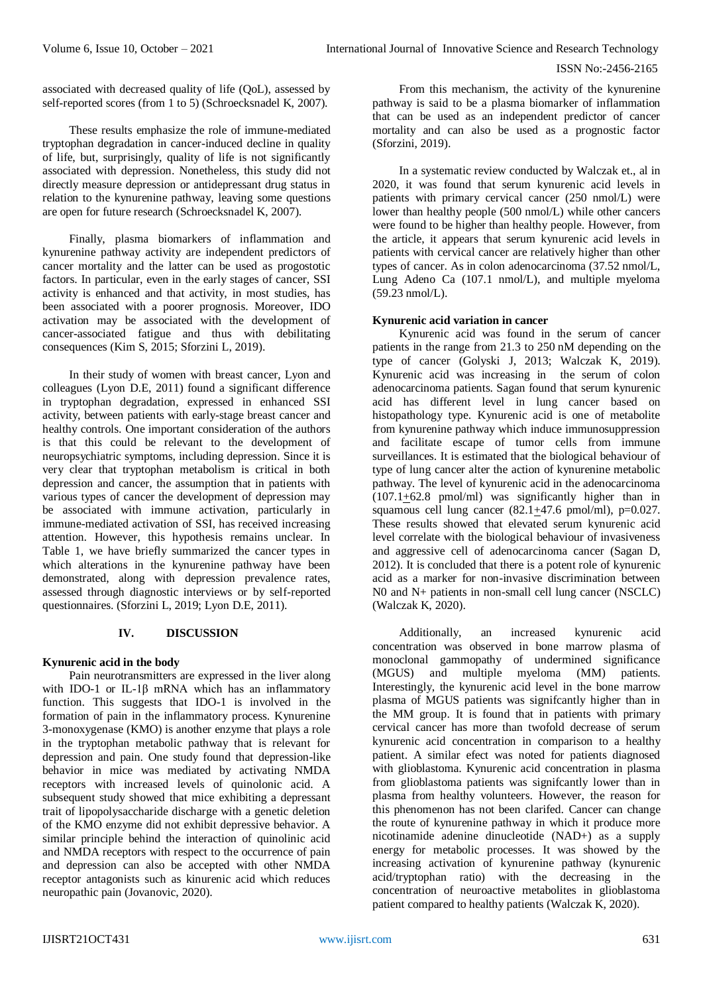associated with decreased quality of life (QoL), assessed by self-reported scores (from 1 to 5) (Schroecksnadel K, 2007).

These results emphasize the role of immune-mediated tryptophan degradation in cancer-induced decline in quality of life, but, surprisingly, quality of life is not significantly associated with depression. Nonetheless, this study did not directly measure depression or antidepressant drug status in relation to the kynurenine pathway, leaving some questions are open for future research (Schroecksnadel K, 2007).

Finally, plasma biomarkers of inflammation and kynurenine pathway activity are independent predictors of cancer mortality and the latter can be used as progostotic factors. In particular, even in the early stages of cancer, SSI activity is enhanced and that activity, in most studies, has been associated with a poorer prognosis. Moreover, IDO activation may be associated with the development of cancer-associated fatigue and thus with debilitating consequences (Kim S, 2015; Sforzini L, 2019).

In their study of women with breast cancer, Lyon and colleagues (Lyon D.E, 2011) found a significant difference in tryptophan degradation, expressed in enhanced SSI activity, between patients with early-stage breast cancer and healthy controls. One important consideration of the authors is that this could be relevant to the development of neuropsychiatric symptoms, including depression. Since it is very clear that tryptophan metabolism is critical in both depression and cancer, the assumption that in patients with various types of cancer the development of depression may be associated with immune activation, particularly in immune-mediated activation of SSI, has received increasing attention. However, this hypothesis remains unclear. In Table 1, we have briefly summarized the cancer types in which alterations in the kynurenine pathway have been demonstrated, along with depression prevalence rates, assessed through diagnostic interviews or by self-reported questionnaires. (Sforzini L, 2019; Lyon D.E, 2011).

# **IV. DISCUSSION**

# **Kynurenic acid in the body**

Pain neurotransmitters are expressed in the liver along with IDO-1 or IL-1β mRNA which has an inflammatory function. This suggests that IDO-1 is involved in the formation of pain in the inflammatory process. Kynurenine 3-monoxygenase (KMO) is another enzyme that plays a role in the tryptophan metabolic pathway that is relevant for depression and pain. One study found that depression-like behavior in mice was mediated by activating NMDA receptors with increased levels of quinolonic acid. A subsequent study showed that mice exhibiting a depressant trait of lipopolysaccharide discharge with a genetic deletion of the KMO enzyme did not exhibit depressive behavior. A similar principle behind the interaction of quinolinic acid and NMDA receptors with respect to the occurrence of pain and depression can also be accepted with other NMDA receptor antagonists such as kinurenic acid which reduces neuropathic pain (Jovanovic, 2020).

From this mechanism, the activity of the kynurenine pathway is said to be a plasma biomarker of inflammation that can be used as an independent predictor of cancer mortality and can also be used as a prognostic factor (Sforzini, 2019).

In a systematic review conducted by Walczak et., al in 2020, it was found that serum kynurenic acid levels in patients with primary cervical cancer (250 nmol/L) were lower than healthy people (500 nmol/L) while other cancers were found to be higher than healthy people. However, from the article, it appears that serum kynurenic acid levels in patients with cervical cancer are relatively higher than other types of cancer. As in colon adenocarcinoma (37.52 nmol/L, Lung Adeno Ca (107.1 nmol/L), and multiple myeloma (59.23 nmol/L).

## **Kynurenic acid variation in cancer**

Kynurenic acid was found in the serum of cancer patients in the range from 21.3 to 250 nM depending on the type of cancer (Golyski J, 2013; Walczak K, 2019). Kynurenic acid was increasing in the serum of colon adenocarcinoma patients. Sagan found that serum kynurenic acid has different level in lung cancer based on histopathology type. Kynurenic acid is one of metabolite from kynurenine pathway which induce immunosuppression and facilitate escape of tumor cells from immune surveillances. It is estimated that the biological behaviour of type of lung cancer alter the action of kynurenine metabolic pathway. The level of kynurenic acid in the adenocarcinoma (107.1+62.8 pmol/ml) was significantly higher than in squamous cell lung cancer  $(82.1+47.6 \text{ pmol/ml})$ , p=0.027. These results showed that elevated serum kynurenic acid level correlate with the biological behaviour of invasiveness and aggressive cell of adenocarcinoma cancer (Sagan D, 2012). It is concluded that there is a potent role of kynurenic acid as a marker for non-invasive discrimination between N0 and N+ patients in non-small cell lung cancer (NSCLC) (Walczak K, 2020).

Additionally, an increased kynurenic acid concentration was observed in bone marrow plasma of monoclonal gammopathy of undermined significance (MGUS) and multiple myeloma (MM) patients. Interestingly, the kynurenic acid level in the bone marrow plasma of MGUS patients was signifcantly higher than in the MM group. It is found that in patients with primary cervical cancer has more than twofold decrease of serum kynurenic acid concentration in comparison to a healthy patient. A similar efect was noted for patients diagnosed with glioblastoma. Kynurenic acid concentration in plasma from glioblastoma patients was signifcantly lower than in plasma from healthy volunteers. However, the reason for this phenomenon has not been clarifed. Cancer can change the route of kynurenine pathway in which it produce more nicotinamide adenine dinucleotide (NAD+) as a supply energy for metabolic processes. It was showed by the increasing activation of kynurenine pathway (kynurenic acid/tryptophan ratio) with the decreasing in the concentration of neuroactive metabolites in glioblastoma patient compared to healthy patients (Walczak K, 2020).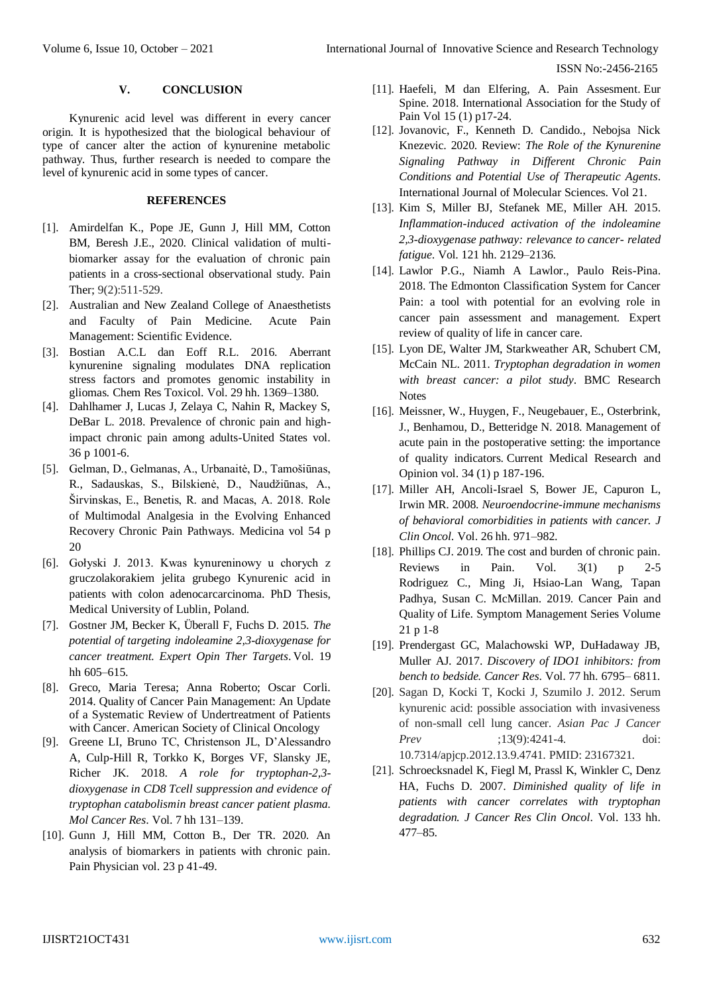ISSN No:-2456-2165

#### **V. CONCLUSION**

Kynurenic acid level was different in every cancer origin*.* It is hypothesized that the biological behaviour of type of cancer alter the action of kynurenine metabolic pathway. Thus, further research is needed to compare the level of kynurenic acid in some types of cancer.

#### **REFERENCES**

- [1]. Amirdelfan K., Pope JE, Gunn J, Hill MM, Cotton BM, Beresh J.E., 2020. Clinical validation of multibiomarker assay for the evaluation of chronic pain patients in a cross-sectional observational study. Pain Ther; 9(2):511-529.
- [2]. Australian and New Zealand College of Anaesthetists and Faculty of Pain Medicine. Acute Pain Management: Scientific Evidence.
- [3]. Bostian A.C.L dan Eoff R.L. 2016. Aberrant kynurenine signaling modulates DNA replication stress factors and promotes genomic instability in gliomas. Chem Res Toxicol. Vol. 29 hh. 1369–1380.
- [4]. Dahlhamer J, Lucas J, Zelaya C, Nahin R, Mackey S, DeBar L. 2018. Prevalence of chronic pain and highimpact chronic pain among adults-United States vol. 36 p 1001-6.
- [5]. Gelman, D., Gelmanas, A., Urbanaitė, D., Tamošiūnas, R., Sadauskas, S., Bilskienė, D., Naudžiūnas, A., Širvinskas, E., Benetis, R. and Macas, A. 2018. Role of Multimodal Analgesia in the Evolving Enhanced Recovery Chronic Pain Pathways. Medicina vol 54 p 20
- [6]. Gołyski J. 2013. Kwas kynureninowy u chorych z gruczolakorakiem jelita grubego Kynurenic acid in patients with colon adenocarcarcinoma. PhD Thesis, Medical University of Lublin, Poland.
- [7]. Gostner JM, Becker K, Überall F, Fuchs D. 2015. *The potential of targeting indoleamine 2,3-dioxygenase for cancer treatment. Expert Opin Ther Targets*. Vol. 19 hh 605–615.
- [8]. Greco, Maria Teresa; Anna Roberto; Oscar Corli. 2014. Quality of Cancer Pain Management: An Update of a Systematic Review of Undertreatment of Patients with Cancer. American Society of Clinical Oncology
- [9]. Greene LI, Bruno TC, Christenson JL, D'Alessandro A, Culp-Hill R, Torkko K, Borges VF, Slansky JE, Richer JK. 2018. *A role for tryptophan-2,3 dioxygenase in CD8 Tcell suppression and evidence of tryptophan catabolismin breast cancer patient plasma. Mol Cancer Res*. Vol. 7 hh 131–139.
- [10]. Gunn J, Hill MM, Cotton B., Der TR. 2020. An analysis of biomarkers in patients with chronic pain. Pain Physician vol. 23 p 41-49.
- [11]. Haefeli, M dan Elfering, A. Pain Assesment. Eur Spine. 2018. International Association for the Study of Pain Vol 15 (1) p17-24.
- [12]. Jovanovic, F., Kenneth D. Candido., Nebojsa Nick Knezevic. 2020. Review: *The Role of the Kynurenine Signaling Pathway in Different Chronic Pain Conditions and Potential Use of Therapeutic Agents*. International Journal of Molecular Sciences. Vol 21.
- [13]. Kim S, Miller BJ, Stefanek ME, Miller AH. 2015. *Inflammation-induced activation of the indoleamine 2,3-dioxygenase pathway: relevance to cancer- related fatigue*. Vol. 121 hh. 2129–2136.
- [14]. Lawlor P.G., Niamh A Lawlor., Paulo Reis-Pina. 2018. The Edmonton Classification System for Cancer Pain: a tool with potential for an evolving role in cancer pain assessment and management. Expert review of quality of life in cancer care.
- [15]. Lyon DE, Walter JM, Starkweather AR, Schubert CM, McCain NL. 2011. *Tryptophan degradation in women with breast cancer: a pilot study*. BMC Research **Notes**
- [16]. Meissner, W., Huygen, F., Neugebauer, E., Osterbrink, J., Benhamou, D., Betteridge N. 2018. Management of acute pain in the postoperative setting: the importance of quality indicators. Current Medical Research and Opinion vol. 34 (1) p 187-196.
- [17]. Miller AH, Ancoli-Israel S, Bower JE, Capuron L, Irwin MR. 2008. *Neuroendocrine-immune mechanisms of behavioral comorbidities in patients with cancer. J Clin Oncol*. Vol. 26 hh. 971–982.
- [18]. Phillips CJ. 2019. The cost and burden of chronic pain. Reviews in Pain. Vol. 3(1) p 2-5 Rodriguez C., Ming Ji, Hsiao-Lan Wang, Tapan Padhya, Susan C. McMillan. 2019. Cancer Pain and Quality of Life. Symptom Management Series Volume 21 p 1-8
- [19]. Prendergast GC, Malachowski WP, DuHadaway JB, Muller AJ. 2017. *Discovery of IDO1 inhibitors: from bench to bedside. Cancer Res*. Vol. 77 hh. 6795– 6811.
- [20]. Sagan D, Kocki T, Kocki J, Szumilo J. 2012. Serum kynurenic acid: possible association with invasiveness of non-small cell lung cancer. *Asian Pac J Cancer Prev* ;13(9):4241-4. doi: 10.7314/apjcp.2012.13.9.4741. PMID: 23167321.
- [21]. Schroecksnadel K, Fiegl M, Prassl K, Winkler C, Denz HA, Fuchs D. 2007. *Diminished quality of life in patients with cancer correlates with tryptophan degradation. J Cancer Res Clin Oncol*. Vol. 133 hh. 477–85.